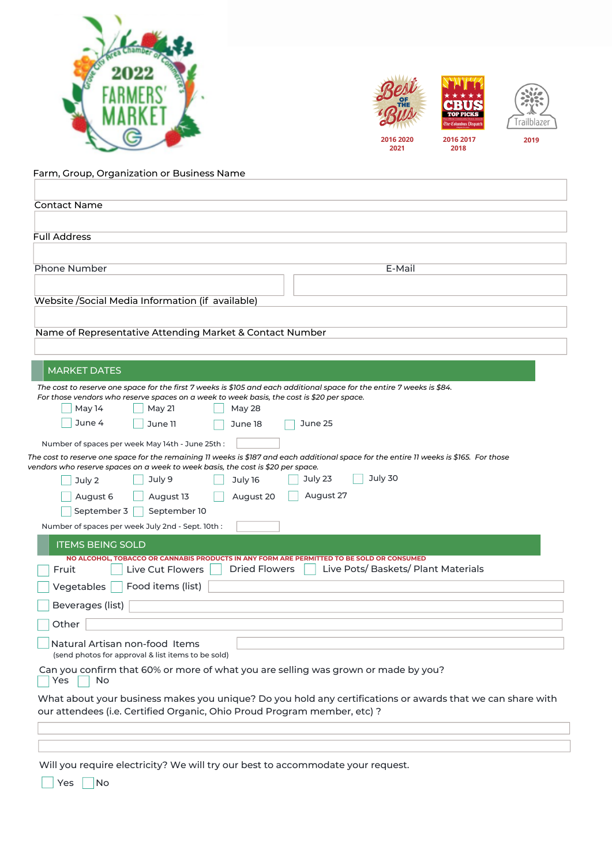



Farm, Group, Organization or Business Name

| <b>Contact Name</b>                                                                                                                                                                    |
|----------------------------------------------------------------------------------------------------------------------------------------------------------------------------------------|
|                                                                                                                                                                                        |
| <b>Full Address</b>                                                                                                                                                                    |
|                                                                                                                                                                                        |
| Phone Number<br>E-Mail                                                                                                                                                                 |
|                                                                                                                                                                                        |
| Website /Social Media Information (if available)                                                                                                                                       |
|                                                                                                                                                                                        |
| Name of Representative Attending Market & Contact Number                                                                                                                               |
|                                                                                                                                                                                        |
| <b>MARKET DATES</b>                                                                                                                                                                    |
| The cost to reserve one space for the first 7 weeks is \$105 and each additional space for the entire 7 weeks is \$84.                                                                 |
| For those vendors who reserve spaces on a week to week basis, the cost is \$20 per space.<br>May 14<br>May 21<br>May 28                                                                |
| June 4<br>June 11<br>June 25<br>June 18                                                                                                                                                |
| Number of spaces per week May 14th - June 25th:                                                                                                                                        |
| The cost to reserve one space for the remaining 11 weeks is \$187 and each additional space for the entire 11 weeks is \$165. For those                                                |
| vendors who reserve spaces on a week to week basis, the cost is \$20 per space.                                                                                                        |
| July 30<br>July 23<br>July 9<br>July 16<br>July 2                                                                                                                                      |
| August 27<br>August 20<br>August 6<br>August 13                                                                                                                                        |
| September 3<br>September 10                                                                                                                                                            |
| Number of spaces per week July 2nd - Sept. 10th:                                                                                                                                       |
| <b>ITEMS BEING SOLD</b>                                                                                                                                                                |
| NO ALCOHOL, TOBACCO OR CANNABIS PRODUCTS IN ANY FORM ARE PERMITTED TO BE SOLD OR CONSUMED<br>Live Pots/ Baskets/ Plant Materials<br><b>Dried Flowers</b><br>Live Cut Flowers<br>Fruit  |
| Food items (list)<br>Vegetables                                                                                                                                                        |
| Beverages (list)                                                                                                                                                                       |
| Other                                                                                                                                                                                  |
|                                                                                                                                                                                        |
| Natural Artisan non-food Items<br>(send photos for approval & list items to be sold)                                                                                                   |
| Can you confirm that 60% or more of what you are selling was grown or made by you?<br>Yes<br>No                                                                                        |
| What about your business makes you unique? Do you hold any certifications or awards that we can share with<br>our attendees (i.e. Certified Organic, Ohio Proud Program member, etc) ? |
|                                                                                                                                                                                        |
|                                                                                                                                                                                        |
|                                                                                                                                                                                        |

Will you require electricity? We will try our best to accommodate your request.

Yes | No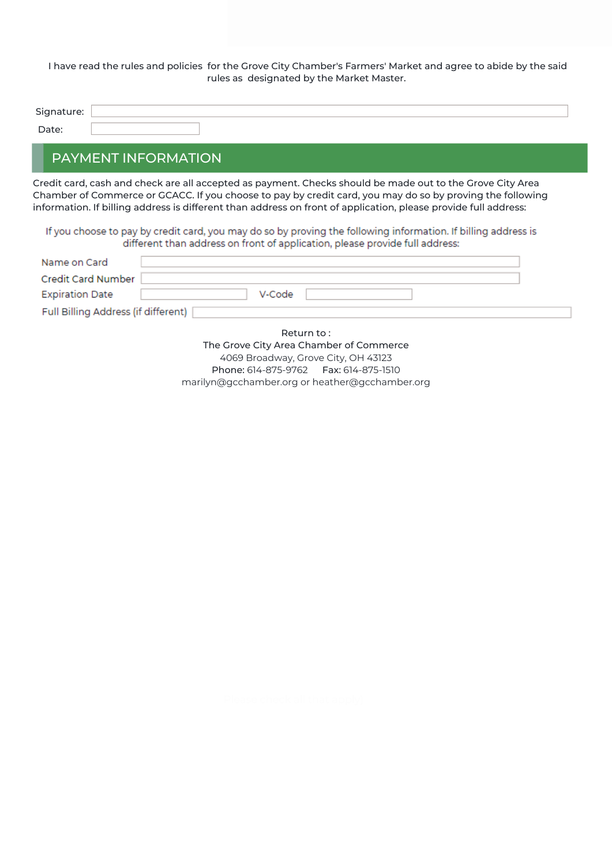I have read the rules and policies for the Grove City Chamber's Farmers' Market and agree to abide by the said rules as designated by the Market Master.

| Signature: |  |
|------------|--|
| Date:      |  |

## PAYMENT INFORMATION

Credit card, cash and check are all accepted as payment. Checks should be made out to the Grove City Area Chamber of Commerce or GCACC. If you choose to pay by credit card, you may do so by proving the following information. If billing address is different than address on front of application, please provide full address:

If you choose to pay by credit card, you may do so by proving the following information. If billing address is different than address on front of application, please provide full address:

| Name on Card                          |  |
|---------------------------------------|--|
| Credit Card Number                    |  |
| <b>Expiration Date</b><br>V-Code      |  |
| Full Billing Address (if different) [ |  |

Return to : The Grove City Area Chamber of Commerce 4069 Broadway, Grove City, OH 43123 Phone: 614-875-9762 Fax: 614-875-1510 marilyn@gcchamber.org or heather@gcchamber.org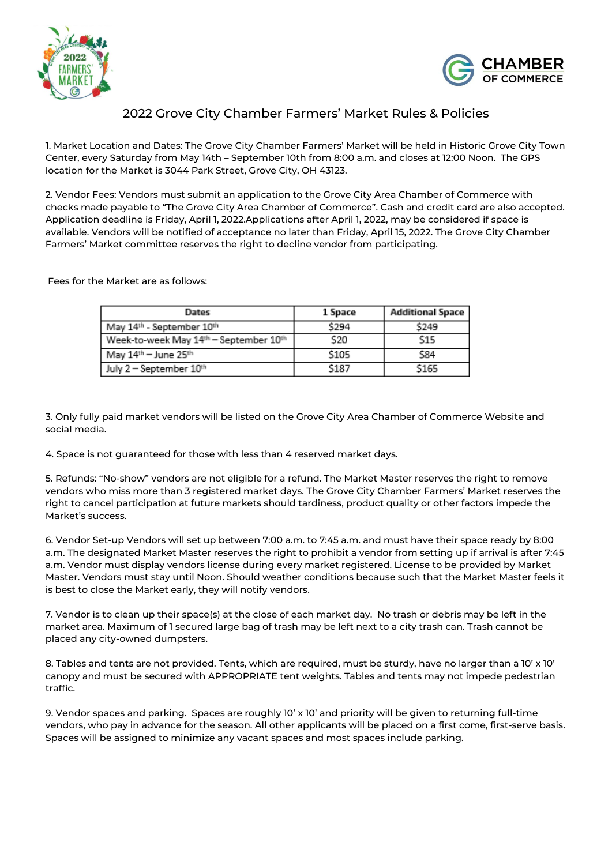



## 2022 Grove City Chamber Farmers' Market Rules & Policies

1. Market Location and Dates: The Grove City Chamber Farmers' Market will be held in Historic Grove City Town Center, every Saturday from May 14th – September 10th from 8:00 a.m. and closes at 12:00 Noon. The GPS location for the Market is 3044 Park Street, Grove City, OH 43123.

2. Vendor Fees: Vendors must submit an application to the Grove City Area Chamber of Commerce with checks made payable to "The Grove City Area Chamber of Commerce". Cash and credit card are also accepted. Application deadline is Friday, April 1, 2022.Applications after April 1, 2022, may be considered if space is available. Vendors will be notified of acceptance no later than Friday, April 15, 2022. The Grove City Chamber Farmers' Market committee reserves the right to decline vendor from participating.

Fees for the Market are as follows:

| Dates                                  | 1 Space | <b>Additional Space</b> |
|----------------------------------------|---------|-------------------------|
| May 14th - September 10th              | \$294   | \$249                   |
| Week-to-week May 14th - September 10th | \$20    | \$15                    |
| May 14th - June 25th                   | \$105   | S84                     |
| July 2 - September 10th                | \$187   | \$165                   |

3. Only fully paid market vendors will be listed on the Grove City Area Chamber of Commerce Website and social media.

4. Space is not guaranteed for those with less than 4 reserved market days.

5. Refunds: "No-show" vendors are not eligible for a refund. The Market Master reserves the right to remove vendors who miss more than 3 registered market days. The Grove City Chamber Farmers' Market reserves the right to cancel participation at future markets should tardiness, product quality or other factors impede the Market's success.

6. Vendor Set-up Vendors will set up between 7:00 a.m. to 7:45 a.m. and must have their space ready by 8:00 a.m. The designated Market Master reserves the right to prohibit a vendor from setting up if arrival is after 7:45 a.m. Vendor must display vendors license during every market registered. License to be provided by Market Master. Vendors must stay until Noon. Should weather conditions because such that the Market Master feels it is best to close the Market early, they will notify vendors.

7. Vendor is to clean up their space(s) at the close of each market day. No trash or debris may be left in the market area. Maximum of 1 secured large bag of trash may be left next to a city trash can. Trash cannot be placed any city-owned dumpsters.

8. Tables and tents are not provided. Tents, which are required, must be sturdy, have no larger than a 10' x 10' canopy and must be secured with APPROPRIATE tent weights. Tables and tents may not impede pedestrian traffic.

9. Vendor spaces and parking. Spaces are roughly 10' x 10' and priority will be given to returning full-time vendors, who pay in advance for the season. All other applicants will be placed on a first come, first-serve basis. Spaces will be assigned to minimize any vacant spaces and most spaces include parking.